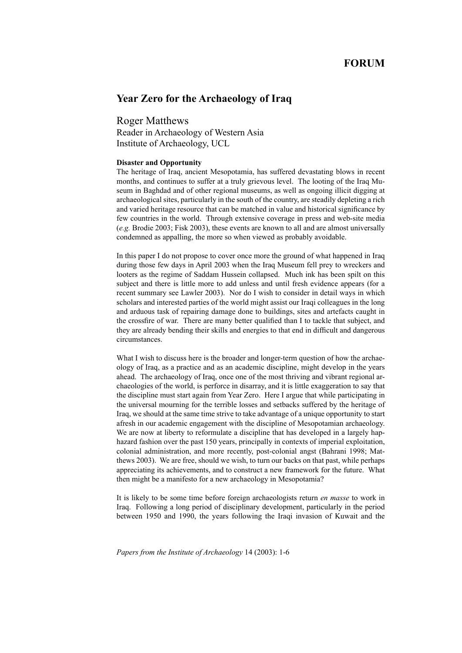## **FORUM**

# **Year Zero for the Archaeology of Iraq**

Roger Matthews

Reader in Archaeology of Western Asia Institute of Archaeology, UCL

## **Disaster and Opportunity**

The heritage of Iraq, ancient Mesopotamia, has suffered devastating blows in recent months, and continues to suffer at a truly grievous level. The looting of the Iraq Museum in Baghdad and of other regional museums, as well as ongoing illicit digging at archaeological sites, particularly in the south of the country, are steadily depleting a rich and varied heritage resource that can be matched in value and historical significance by few countries in the world. Through extensive coverage in press and web-site media (*e.g.* Brodie 2003; Fisk 2003), these events are known to all and are almost universally condemned as appalling, the more so when viewed as probably avoidable.

In this paper I do not propose to cover once more the ground of what happened in Iraq during those few days in April 2003 when the Iraq Museum fell prey to wreckers and looters as the regime of Saddam Hussein collapsed. Much ink has been spilt on this subject and there is little more to add unless and until fresh evidence appears (for a recent summary see Lawler 2003). Nor do I wish to consider in detail ways in which scholars and interested parties of the world might assist our Iraqi colleagues in the long and arduous task of repairing damage done to buildings, sites and artefacts caught in the crossfire of war. There are many better qualified than I to tackle that subject, and they are already bending their skills and energies to that end in difficult and dangerous circumstances.

What I wish to discuss here is the broader and longer-term question of how the archaeology of Iraq, as a practice and as an academic discipline, might develop in the years ahead. The archaeology of Iraq, once one of the most thriving and vibrant regional archaeologies of the world, is perforce in disarray, and it is little exaggeration to say that the discipline must start again from Year Zero. Here I argue that while participating in the universal mourning for the terrible losses and setbacks suffered by the heritage of Iraq, we should at the same time strive to take advantage of a unique opportunity to start afresh in our academic engagement with the discipline of Mesopotamian archaeology. We are now at liberty to reformulate a discipline that has developed in a largely haphazard fashion over the past 150 years, principally in contexts of imperial exploitation, colonial administration, and more recently, post-colonial angst (Bahrani 1998; Matthews 2003). We are free, should we wish, to turn our backs on that past, while perhaps appreciating its achievements, and to construct a new framework for the future. What then might be a manifesto for a new archaeology in Mesopotamia?

It is likely to be some time before foreign archaeologists return *en masse* to work in Iraq. Following a long period of disciplinary development, particularly in the period between 1950 and 1990, the years following the Iraqi invasion of Kuwait and the

*Papers from the Institute of Archaeology* 14 (2003): 1-6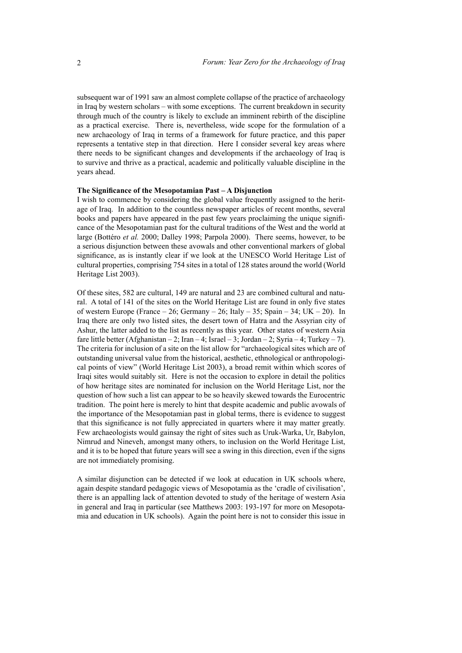subsequent war of 1991 saw an almost complete collapse of the practice of archaeology in Iraq by western scholars – with some exceptions. The current breakdown in security through much of the country is likely to exclude an imminent rebirth of the discipline as a practical exercise. There is, nevertheless, wide scope for the formulation of a new archaeology of Iraq in terms of a framework for future practice, and this paper represents a tentative step in that direction. Here I consider several key areas where there needs to be significant changes and developments if the archaeology of Iraq is to survive and thrive as a practical, academic and politically valuable discipline in the years ahead.

## **The Significance of the Mesopotamian Past – A Disjunction**

I wish to commence by considering the global value frequently assigned to the heritage of Iraq. In addition to the countless newspaper articles of recent months, several books and papers have appeared in the past few years proclaiming the unique significance of the Mesopotamian past for the cultural traditions of the West and the world at large (Bottéro *et al.* 2000; Dalley 1998; Parpola 2000). There seems, however, to be a serious disjunction between these avowals and other conventional markers of global significance, as is instantly clear if we look at the UNESCO World Heritage List of cultural properties, comprising 754 sites in a total of 128 states around the world (World Heritage List 2003).

Of these sites, 582 are cultural, 149 are natural and 23 are combined cultural and natural. A total of 141 of the sites on the World Heritage List are found in only five states of western Europe (France  $-26$ ; Germany  $-26$ ; Italy  $-35$ ; Spain  $-34$ ; UK  $-20$ ). In Iraq there are only two listed sites, the desert town of Hatra and the Assyrian city of Ashur, the latter added to the list as recently as this year. Other states of western Asia fare little better (Afghanistan – 2; Iran – 4; Israel – 3; Jordan – 2; Syria – 4; Turkey – 7). The criteria for inclusion of a site on the list allow for "archaeological sites which are of outstanding universal value from the historical, aesthetic, ethnological or anthropological points of view" (World Heritage List 2003), a broad remit within which scores of Iraqi sites would suitably sit. Here is not the occasion to explore in detail the politics of how heritage sites are nominated for inclusion on the World Heritage List, nor the question of how such a list can appear to be so heavily skewed towards the Eurocentric tradition. The point here is merely to hint that despite academic and public avowals of the importance of the Mesopotamian past in global terms, there is evidence to suggest that this significance is not fully appreciated in quarters where it may matter greatly. Few archaeologists would gainsay the right of sites such as Uruk-Warka, Ur, Babylon, Nimrud and Nineveh, amongst many others, to inclusion on the World Heritage List, and it is to be hoped that future years will see a swing in this direction, even if the signs are not immediately promising.

A similar disjunction can be detected if we look at education in UK schools where, again despite standard pedagogic views of Mesopotamia as the 'cradle of civilisation', there is an appalling lack of attention devoted to study of the heritage of western Asia in general and Iraq in particular (see Matthews 2003: 193-197 for more on Mesopotamia and education in UK schools). Again the point here is not to consider this issue in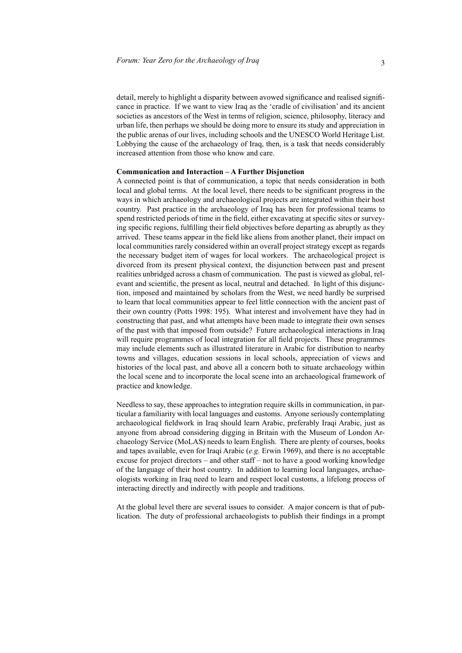detail, merely to highlight a disparity between avowed significance and realised significance in practice. If we want to view Iraq as the 'cradle of civilisation' and its ancient societies as ancestors of the West in terms of religion, science, philosophy, literacy and urban life, then perhaps we should be doing more to ensure its study and appreciation in the public arenas of our lives, including schools and the UNESCO World Heritage List. Lobbying the cause of the archaeology of Iraq, then, is a task that needs considerably increased attention from those who know and care.

### **Communication and Interaction – A Further Disjunction**

A connected point is that of communication, a topic that needs consideration in both local and global terms. At the local level, there needs to be significant progress in the ways in which archaeology and archaeological projects are integrated within their host country. Past practice in the archaeology of Iraq has been for professional teams to spend restricted periods of time in the field, either excavating at specific sites or surveying specific regions, fulfilling their field objectives before departing as abruptly as they arrived. These teams appear in the field like aliens from another planet, their impact on local communities rarely considered within an overall project strategy except as regards the necessary budget item of wages for local workers. The archaeological project is divorced from its present physical context, the disjunction between past and present realities unbridged across a chasm of communication. The past is viewed as global, relevant and scientific, the present as local, neutral and detached. In light of this disjunction, imposed and maintained by scholars from the West, we need hardly be surprised to learn that local communities appear to feel little connection with the ancient past of their own country (Potts 1998: 195). What interest and involvement have they had in constructing that past, and what attempts have been made to integrate their own senses of the past with that imposed from outside? Future archaeological interactions in Iraq will require programmes of local integration for all field projects. These programmes may include elements such as illustrated literature in Arabic for distribution to nearby towns and villages, education sessions in local schools, appreciation of views and histories of the local past, and above all a concern both to situate archaeology within the local scene and to incorporate the local scene into an archaeological framework of practice and knowledge.

Needless to say, these approaches to integration require skills in communication, in particular a familiarity with local languages and customs. Anyone seriously contemplating archaeological fieldwork in Iraq should learn Arabic, preferably Iraqi Arabic, just as anyone from abroad considering digging in Britain with the Museum of London Archaeology Service (MoLAS) needs to learn English. There are plenty of courses, books and tapes available, even for Iraqi Arabic (*e.g.* Erwin 1969), and there is no acceptable excuse for project directors – and other staff – not to have a good working knowledge of the language of their host country. In addition to learning local languages, archaeologists working in Iraq need to learn and respect local customs, a lifelong process of interacting directly and indirectly with people and traditions.

At the global level there are several issues to consider. A major concern is that of publication. The duty of professional archaeologists to publish their findings in a prompt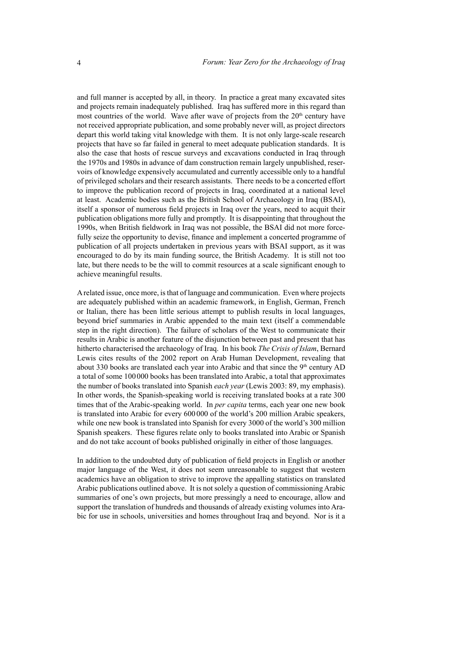and full manner is accepted by all, in theory. In practice a great many excavated sites and projects remain inadequately published. Iraq has suffered more in this regard than most countries of the world. Wave after wave of projects from the  $20<sup>th</sup>$  century have not received appropriate publication, and some probably never will, as project directors depart this world taking vital knowledge with them. It is not only large-scale research projects that have so far failed in general to meet adequate publication standards. It is also the case that hosts of rescue surveys and excavations conducted in Iraq through the 1970s and 1980s in advance of dam construction remain largely unpublished, reservoirs of knowledge expensively accumulated and currently accessible only to a handful of privileged scholars and their research assistants. There needs to be a concerted effort to improve the publication record of projects in Iraq, coordinated at a national level at least. Academic bodies such as the British School of Archaeology in Iraq (BSAI), itself a sponsor of numerous field projects in Iraq over the years, need to acquit their publication obligations more fully and promptly. It is disappointing that throughout the 1990s, when British fieldwork in Iraq was not possible, the BSAI did not more forcefully seize the opportunity to devise, finance and implement a concerted programme of publication of all projects undertaken in previous years with BSAI support, as it was encouraged to do by its main funding source, the British Academy. It is still not too late, but there needs to be the will to commit resources at a scale significant enough to achieve meaningful results.

A related issue, once more, is that of language and communication. Even where projects are adequately published within an academic framework, in English, German, French or Italian, there has been little serious attempt to publish results in local languages, beyond brief summaries in Arabic appended to the main text (itself a commendable step in the right direction). The failure of scholars of the West to communicate their results in Arabic is another feature of the disjunction between past and present that has hitherto characterised the archaeology of Iraq. In his book *The Crisis of Islam*, Bernard Lewis cites results of the 2002 report on Arab Human Development, revealing that about 330 books are translated each year into Arabic and that since the  $9<sup>th</sup>$  century AD a total of some 100 000 books has been translated into Arabic, a total that approximates the number of books translated into Spanish *each year* (Lewis 2003: 89, my emphasis). In other words, the Spanish-speaking world is receiving translated books at a rate 300 times that of the Arabic-speaking world. In *per capita* terms, each year one new book is translated into Arabic for every 600 000 of the world's 200 million Arabic speakers, while one new book is translated into Spanish for every 3000 of the world's 300 million Spanish speakers. These figures relate only to books translated into Arabic or Spanish and do not take account of books published originally in either of those languages.

In addition to the undoubted duty of publication of field projects in English or another major language of the West, it does not seem unreasonable to suggest that western academics have an obligation to strive to improve the appalling statistics on translated Arabic publications outlined above. It is not solely a question of commissioning Arabic summaries of one's own projects, but more pressingly a need to encourage, allow and support the translation of hundreds and thousands of already existing volumes into Arabic for use in schools, universities and homes throughout Iraq and beyond. Nor is it a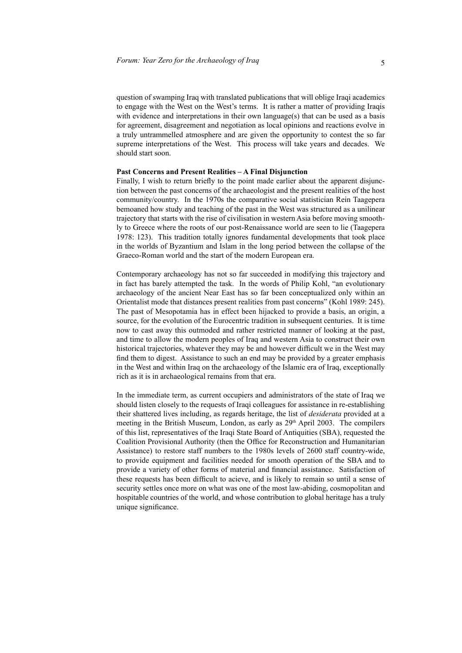question of swamping Iraq with translated publications that will oblige Iraqi academics to engage with the West on the West's terms. It is rather a matter of providing Iraqis with evidence and interpretations in their own language(s) that can be used as a basis for agreement, disagreement and negotiation as local opinions and reactions evolve in a truly untrammelled atmosphere and are given the opportunity to contest the so far supreme interpretations of the West. This process will take years and decades. We should start soon.

#### **Past Concerns and Present Realities – A Final Disjunction**

Finally, I wish to return briefly to the point made earlier about the apparent disjunction between the past concerns of the archaeologist and the present realities of the host community/country. In the 1970s the comparative social statistician Rein Taagepera bemoaned how study and teaching of the past in the West was structured as a unilinear trajectory that starts with the rise of civilisation in western Asia before moving smoothly to Greece where the roots of our post-Renaissance world are seen to lie (Taagepera 1978: 123). This tradition totally ignores fundamental developments that took place in the worlds of Byzantium and Islam in the long period between the collapse of the Graeco-Roman world and the start of the modern European era.

Contemporary archaeology has not so far succeeded in modifying this trajectory and in fact has barely attempted the task. In the words of Philip Kohl, "an evolutionary archaeology of the ancient Near East has so far been conceptualized only within an Orientalist mode that distances present realities from past concerns" (Kohl 1989: 245). The past of Mesopotamia has in effect been hijacked to provide a basis, an origin, a source, for the evolution of the Eurocentric tradition in subsequent centuries. It is time now to cast away this outmoded and rather restricted manner of looking at the past, and time to allow the modern peoples of Iraq and western Asia to construct their own historical trajectories, whatever they may be and however difficult we in the West may find them to digest. Assistance to such an end may be provided by a greater emphasis in the West and within Iraq on the archaeology of the Islamic era of Iraq, exceptionally rich as it is in archaeological remains from that era.

In the immediate term, as current occupiers and administrators of the state of Iraq we should listen closely to the requests of Iraqi colleagues for assistance in re-establishing their shattered lives including, as regards heritage, the list of *desiderata* provided at a meeting in the British Museum, London, as early as 29<sup>th</sup> April 2003. The compilers of this list, representatives of the Iraqi State Board of Antiquities (SBA), requested the Coalition Provisional Authority (then the Office for Reconstruction and Humanitarian Assistance) to restore staff numbers to the 1980s levels of 2600 staff country-wide, to provide equipment and facilities needed for smooth operation of the SBA and to provide a variety of other forms of material and financial assistance. Satisfaction of these requests has been difficult to acieve, and is likely to remain so until a sense of security settles once more on what was one of the most law-abiding, cosmopolitan and hospitable countries of the world, and whose contribution to global heritage has a truly unique significance.